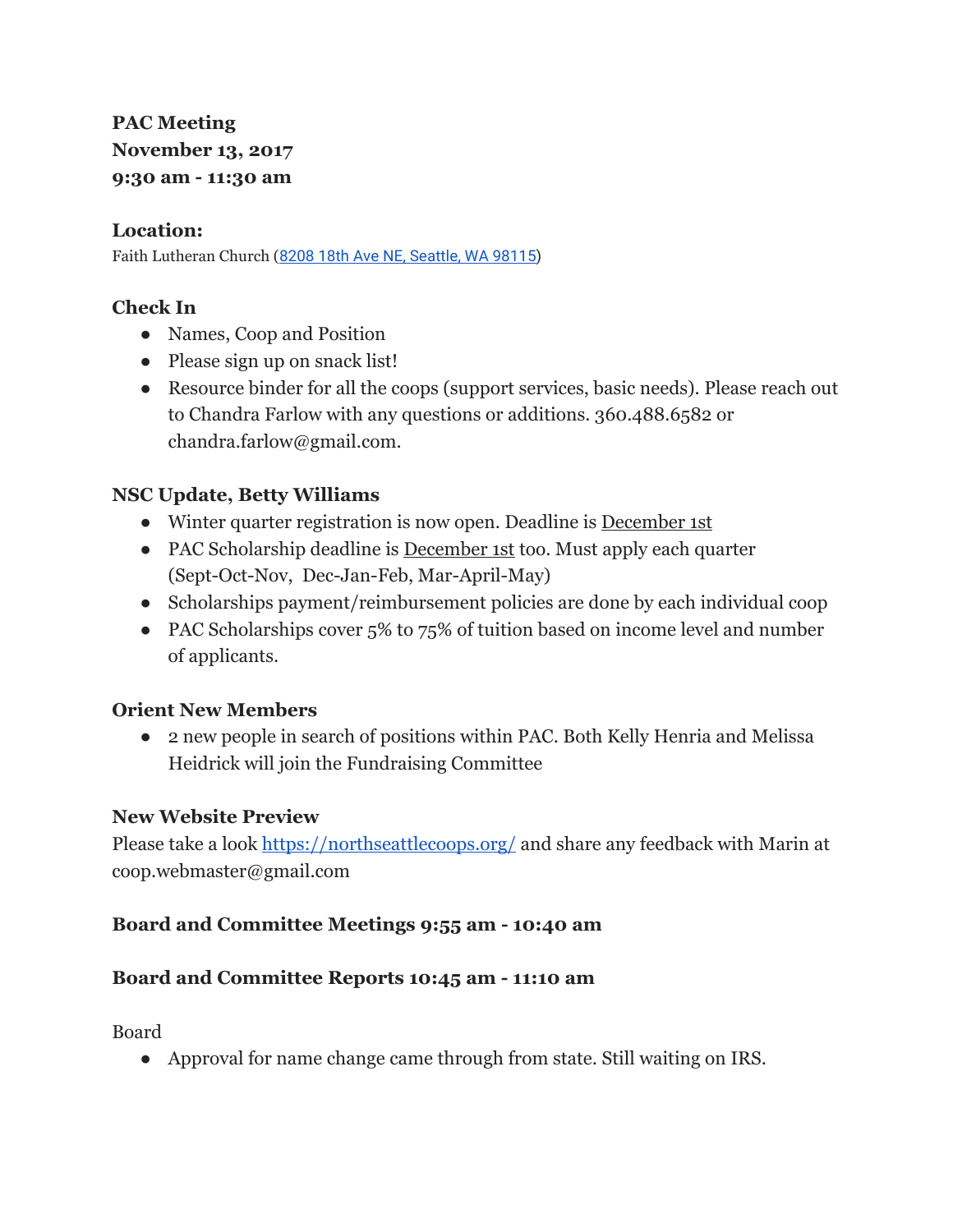# **PAC Meeting November 13, 2017 9:30 am - 11:30 am**

### **Location:**

Faith Lutheran Church (8208 18th Ave NE, [Seattle,](https://maps.google.com/?q=8208+18th+Ave+NE,+Seattle,+WA+98115&entry=gmail&source=g) WA 98115)

## **Check In**

- Names, Coop and Position
- Please sign up on snack list!
- Resource binder for all the coops (support services, basic needs). Please reach out to Chandra Farlow with any questions or additions. 360.488.6582 or chandra.farlow@gmail.com.

## **NSC Update, Betty Williams**

- Winter quarter registration is now open. Deadline is December 1st
- PAC Scholarship deadline is December 1st too. Must apply each quarter (Sept-Oct-Nov, Dec-Jan-Feb, Mar-April-May)
- Scholarships payment/reimbursement policies are done by each individual coop
- PAC Scholarships cover 5% to 75% of tuition based on income level and number of applicants.

## **Orient New Members**

● 2 new people in search of positions within PAC. Both Kelly Henria and Melissa Heidrick will join the Fundraising Committee

#### **New Website Preview**

Please take a look <https://northseattlecoops.org/>and share any feedback with Marin at coop.webmaster@gmail.com

## **Board and Committee Meetings 9:55 am - 10:40 am**

## **Board and Committee Reports 10:45 am - 11:10 am**

Board

● Approval for name change came through from state. Still waiting on IRS.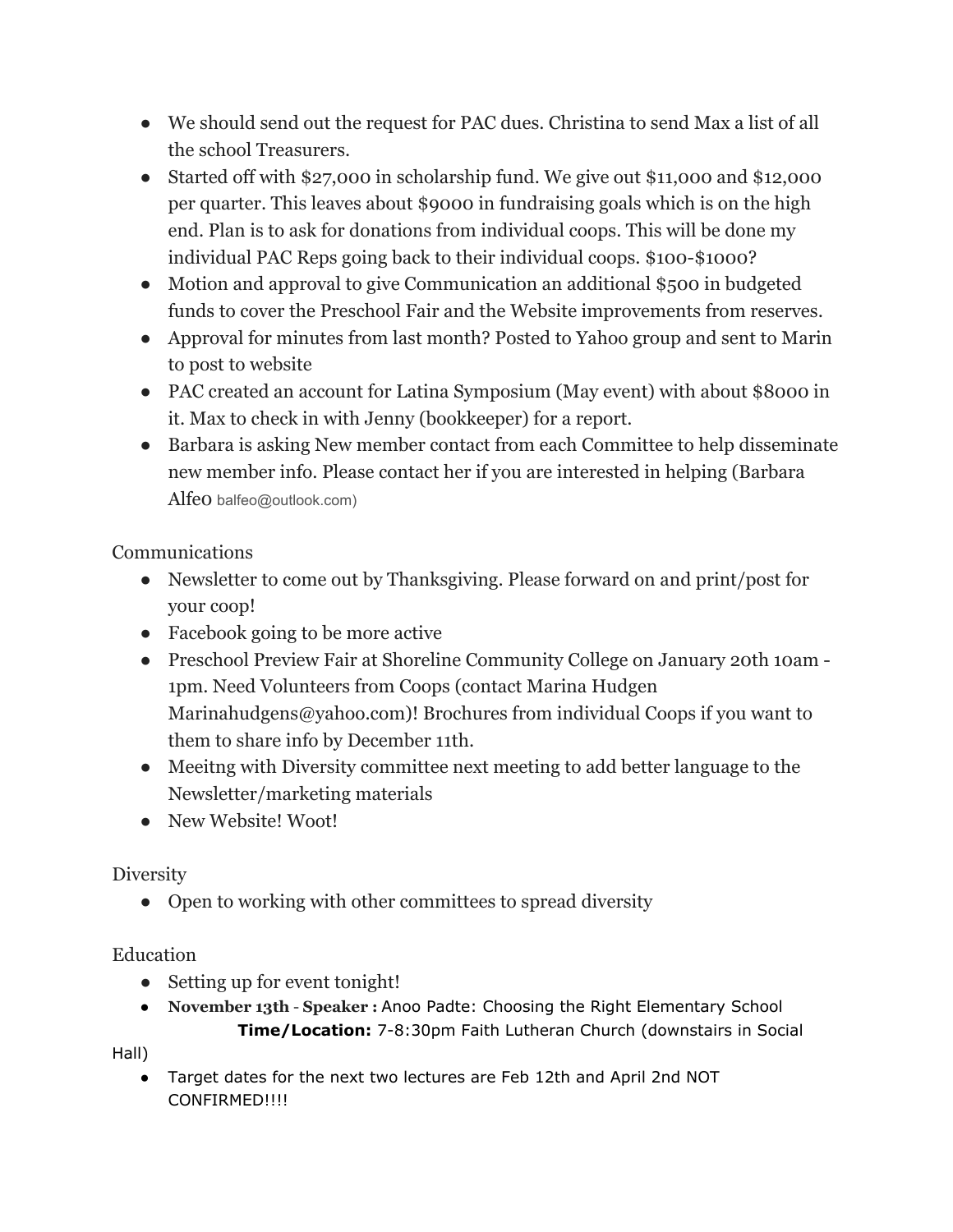- We should send out the request for PAC dues. Christina to send Max a list of all the school Treasurers.
- Started off with \$27,000 in scholarship fund. We give out \$11,000 and \$12,000 per quarter. This leaves about \$9000 in fundraising goals which is on the high end. Plan is to ask for donations from individual coops. This will be done my individual PAC Reps going back to their individual coops. \$100-\$1000?
- Motion and approval to give Communication an additional \$500 in budgeted funds to cover the Preschool Fair and the Website improvements from reserves.
- Approval for minutes from last month? Posted to Yahoo group and sent to Marin to post to website
- PAC created an account for Latina Symposium (May event) with about \$8000 in it. Max to check in with Jenny (bookkeeper) for a report.
- Barbara is asking New member contact from each Committee to help disseminate new member info. Please contact her if you are interested in helping (Barbara Alfeo balfeo@outlook.com)

Communications

- Newsletter to come out by Thanksgiving. Please forward on and print/post for your coop!
- Facebook going to be more active
- Preschool Preview Fair at Shoreline Community College on January 20th 10am 1pm. Need Volunteers from Coops (contact Marina Hudgen Marinahudgens@yahoo.com)! Brochures from individual Coops if you want to them to share info by December 11th.
- Meeitng with Diversity committee next meeting to add better language to the Newsletter/marketing materials
- New Website! Woot!

## Diversity

• Open to working with other committees to spread diversity

#### Education

- Setting up for event tonight!
- **November 13th Speaker :** Anoo Padte: Choosing the Right Elementary School **Time/Location:** 7-8:30pm Faith Lutheran Church (downstairs in Social

Hall)

● Target dates for the next two lectures are Feb 12th and April 2nd NOT CONFIRMED!!!!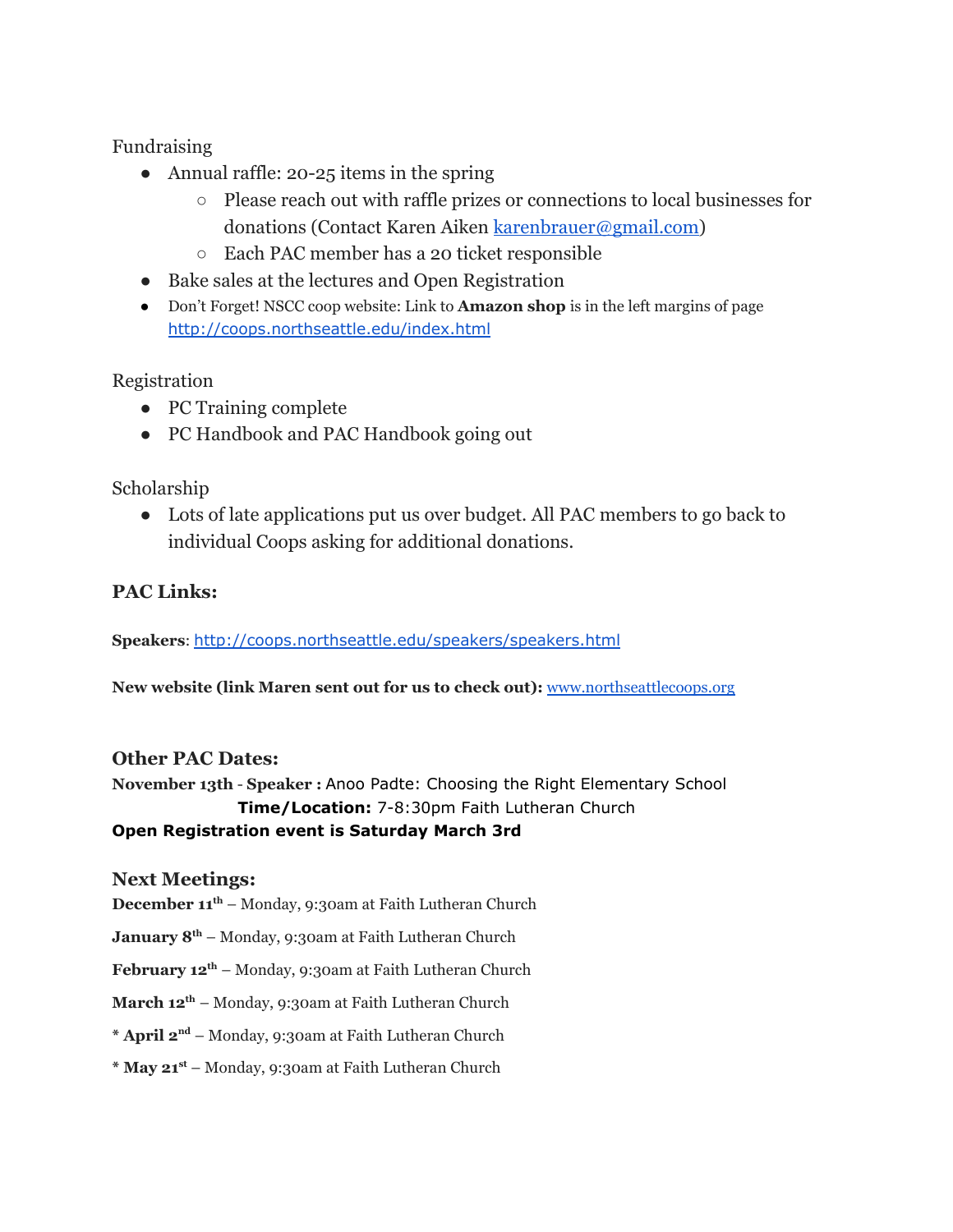Fundraising

- $\bullet$  Annual raffle: 20-25 items in the spring
	- Please reach out with raffle prizes or connections to local businesses for donations (Contact Karen Aiken [karenbrauer@gmail.com](mailto:karenbrauer@gmail.com))
	- Each PAC member has a 20 ticket responsible
- Bake sales at the lectures and Open Registration
- Don't Forget! NSCC coop website: Link to **Amazon shop** is in the left margins of page <http://coops.northseattle.edu/index.html>

Registration

- PC Training complete
- PC Handbook and PAC Handbook going out

Scholarship

● Lots of late applications put us over budget. All PAC members to go back to individual Coops asking for additional donations.

#### **PAC Links:**

**Speakers**: <http://coops.northseattle.edu/speakers/speakers.html>

**New website (link Maren sent out for us to check out):** [www.northseattlecoops.org](http://www.northseattlecoops.org/)

#### **Other PAC Dates:**

**November 13th** - **Speaker :** Anoo Padte: Choosing the Right Elementary School **Time/Location:** 7-8:30pm Faith Lutheran Church

#### **Open Registration event is Saturday March 3rd**

#### **Next Meetings:**

**December 11 th** – Monday, 9:30am at Faith Lutheran Church

**January 8 th** – Monday, 9:30am at Faith Lutheran Church

**February 12 th** – Monday, 9:30am at Faith Lutheran Church

**March 12 th** – Monday, 9:30am at Faith Lutheran Church

**\* April 2 nd** – Monday, 9:30am at Faith Lutheran Church

**\* May 21 st** – Monday, 9:30am at Faith Lutheran Church